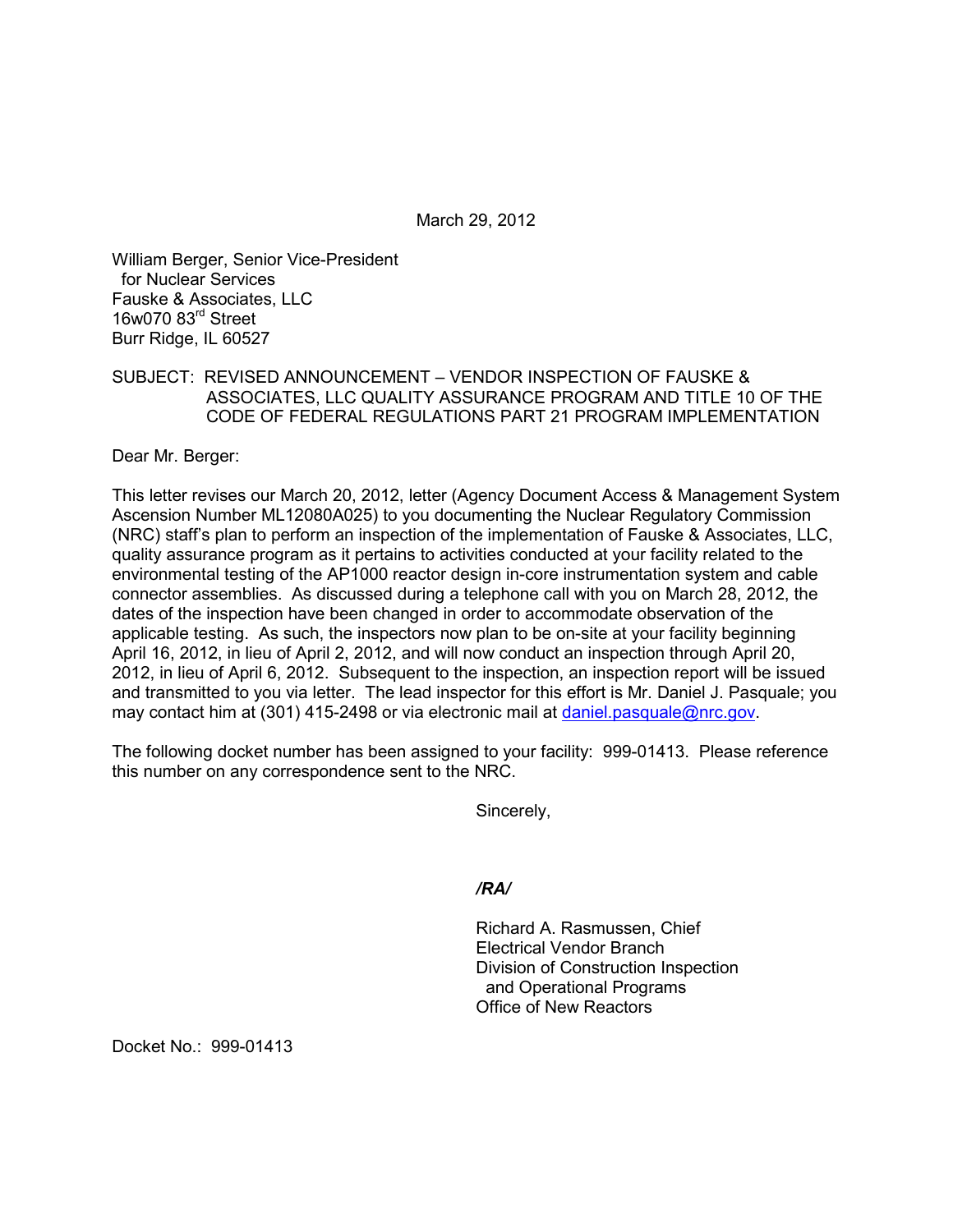March 29, 2012

William Berger, Senior Vice-President for Nuclear Services Fauske & Associates, LLC 16w070 83rd Street Burr Ridge, IL 60527

## SUBJECT: REVISED ANNOUNCEMENT – VENDOR INSPECTION OF FAUSKE & ASSOCIATES, LLC QUALITY ASSURANCE PROGRAM AND TITLE 10 OF THE CODE OF FEDERAL REGULATIONS PART 21 PROGRAM IMPLEMENTATION

Dear Mr. Berger:

This letter revises our March 20, 2012, letter (Agency Document Access & Management System Ascension Number ML12080A025) to you documenting the Nuclear Regulatory Commission (NRC) staff's plan to perform an inspection of the implementation of Fauske & Associates, LLC, quality assurance program as it pertains to activities conducted at your facility related to the environmental testing of the AP1000 reactor design in-core instrumentation system and cable connector assemblies. As discussed during a telephone call with you on March 28, 2012, the dates of the inspection have been changed in order to accommodate observation of the applicable testing. As such, the inspectors now plan to be on-site at your facility beginning April 16, 2012, in lieu of April 2, 2012, and will now conduct an inspection through April 20, 2012, in lieu of April 6, 2012. Subsequent to the inspection, an inspection report will be issued and transmitted to you via letter. The lead inspector for this effort is Mr. Daniel J. Pasquale; you may contact him at (301) 415-2498 or via electronic mail at daniel.pasquale@nrc.gov.

The following docket number has been assigned to your facility: 999-01413. Please reference this number on any correspondence sent to the NRC.

Sincerely,

## */RA/*

Richard A. Rasmussen, Chief Electrical Vendor Branch Division of Construction Inspection and Operational Programs Office of New Reactors

Docket No.: 999-01413